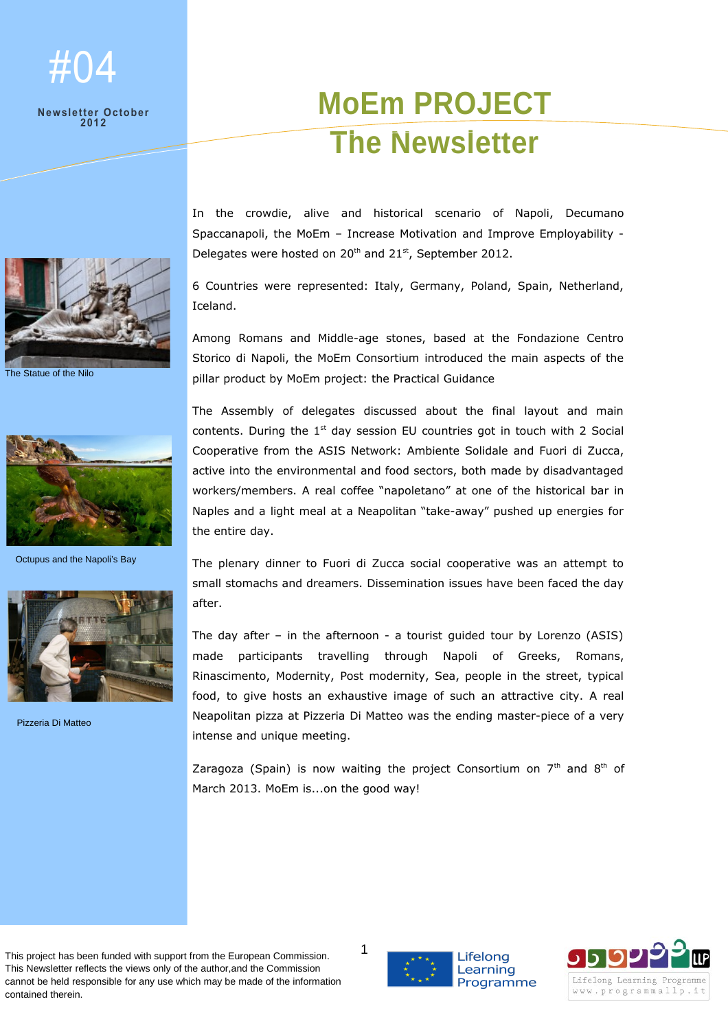## #04

## **Newsletter October 2012**



The Statue of the Nilo



Octupus and the Napoli's Bay



Pizzeria Di Matteo

## **MoEm PROJECT The Newsletter**

In the crowdie, alive and historical scenario of Napoli, Decumano Spaccanapoli, the MoEm – Increase Motivation and Improve Employability - Delegates were hosted on 20<sup>th</sup> and 21<sup>st</sup>, September 2012.

6 Countries were represented: Italy, Germany, Poland, Spain, Netherland, Iceland.

Among Romans and Middle-age stones, based at the Fondazione Centro Storico di Napoli, the MoEm Consortium introduced the main aspects of the pillar product by MoEm project: the Practical Guidance

The Assembly of delegates discussed about the final layout and main contents. During the  $1<sup>st</sup>$  day session EU countries got in touch with 2 Social Cooperative from the ASIS Network: Ambiente Solidale and Fuori di Zucca, active into the environmental and food sectors, both made by disadvantaged workers/members. A real coffee "napoletano" at one of the historical bar in Naples and a light meal at a Neapolitan "take-away" pushed up energies for the entire day.

The plenary dinner to Fuori di Zucca social cooperative was an attempt to small stomachs and dreamers. Dissemination issues have been faced the day after.

The day after – in the afternoon - a tourist guided tour by Lorenzo (ASIS) made participants travelling through Napoli of Greeks, Romans, Rinascimento, Modernity, Post modernity, Sea, people in the street, typical food, to give hosts an exhaustive image of such an attractive city. A real Neapolitan pizza at Pizzeria Di Matteo was the ending master-piece of a very intense and unique meeting.

Zaragoza (Spain) is now waiting the project Consortium on  $7<sup>th</sup>$  and  $8<sup>th</sup>$  of March 2013. MoEm is...on the good way!

This project has been funded with support from the European Commission. This Newsletter reflects the views only of the author,and the Commission cannot be held responsible for any use which may be made of the information contained therein.